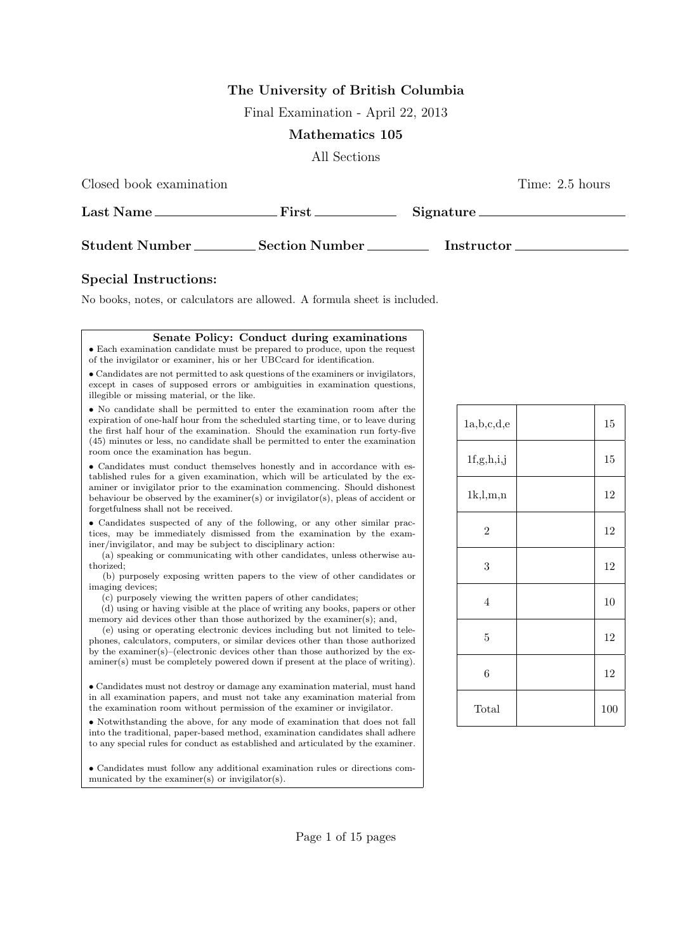## **The University of British Columbia**

Final Examination - April 22, 2013

## **Mathematics 105**

All Sections

Closed book examination Time: 2.5 hours

| Last Name             | ${\rm First}$         | Signature. |  |
|-----------------------|-----------------------|------------|--|
| <b>Student Number</b> | <b>Section Number</b> | Instructor |  |

## **Special Instructions:**

No books, notes, or calculators are allowed. A formula sheet is included.

**Senate Policy: Conduct during examinations**

| • Each examination candidate must be prepared to produce, upon the request<br>of the invigilator or examiner, his or her UBCcard for identification.                                                                                                                                                                                                                                                                                                                                                                                                                                                                                                                                                                        |  |
|-----------------------------------------------------------------------------------------------------------------------------------------------------------------------------------------------------------------------------------------------------------------------------------------------------------------------------------------------------------------------------------------------------------------------------------------------------------------------------------------------------------------------------------------------------------------------------------------------------------------------------------------------------------------------------------------------------------------------------|--|
| • Candidates are not permitted to ask questions of the examiners or invigilators,<br>except in cases of supposed errors or ambiguities in examination questions,<br>illegible or missing material, or the like.                                                                                                                                                                                                                                                                                                                                                                                                                                                                                                             |  |
| • No candidate shall be permitted to enter the examination room after the<br>expiration of one-half hour from the scheduled starting time, or to leave during<br>the first half hour of the examination. Should the examination run forty-five<br>(45) minutes or less, no candidate shall be permitted to enter the examination<br>room once the examination has begun.                                                                                                                                                                                                                                                                                                                                                    |  |
| • Candidates must conduct themselves honestly and in accordance with es-<br>tablished rules for a given examination, which will be articulated by the ex-<br>aminer or invigilator prior to the examination commencing. Should dishonest<br>behaviour be observed by the examiner(s) or invigilator(s), pleas of accident or<br>forgetfulness shall not be received.                                                                                                                                                                                                                                                                                                                                                        |  |
| • Candidates suspected of any of the following, or any other similar prac-<br>tices, may be immediately dismissed from the examination by the exam-<br>iner/invigilator, and may be subject to disciplinary action:<br>(a) speaking or communicating with other candidates, unless otherwise au-<br>thorized:<br>(b) purposely exposing written papers to the view of other candidates or<br>imaging devices;<br>(c) purposely viewing the written papers of other candidates;<br>(d) using or having visible at the place of writing any books, papers or other<br>memory aid devices other than those authorized by the examiner(s); and,<br>(e) using or operating electronic devices including but not limited to tele- |  |
| phones, calculators, computers, or similar devices other than those authorized<br>by the examiner(s)–(electronic devices other than those authorized by the ex-<br>aminer(s) must be completely powered down if present at the place of writing).                                                                                                                                                                                                                                                                                                                                                                                                                                                                           |  |
| • Candidates must not destroy or damage any examination material, must hand<br>in all examination papers, and must not take any examination material from<br>the examination room without permission of the examiner or invigilator.                                                                                                                                                                                                                                                                                                                                                                                                                                                                                        |  |
| • Notwithstanding the above, for any mode of examination that does not fall<br>into the traditional, paper-based method, examination candidates shall adhere<br>to any special rules for conduct as established and articulated by the examiner.                                                                                                                                                                                                                                                                                                                                                                                                                                                                            |  |
| • Candidates must follow any additional examination rules or directions com-<br>municated by the examiner(s) or invigilator(s).                                                                                                                                                                                                                                                                                                                                                                                                                                                                                                                                                                                             |  |

| a,b,c,d,e      | 15  |
|----------------|-----|
| 1f,g,h,i,j     | 15  |
| 1k, l, m, n    | 12  |
| $\mathbf{2}$   | 12  |
| 3              | 12  |
| $\overline{4}$ | 10  |
| $\overline{5}$ | 12  |
| 6              | 12  |
| Total          | 100 |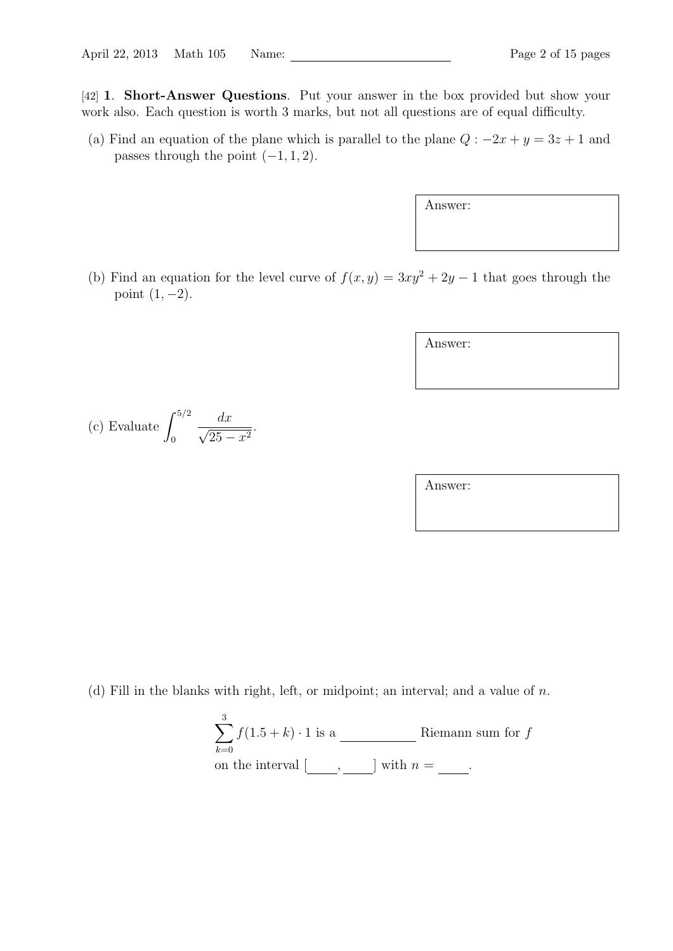[42] **1**. **Short-Answer Questions**. Put your answer in the box provided but show your work also. Each question is worth 3 marks, but not all questions are of equal difficulty.

(a) Find an equation of the plane which is parallel to the plane  $Q: -2x + y = 3z + 1$  and passes through the point  $(-1, 1, 2)$ .

Answer:

(b) Find an equation for the level curve of  $f(x, y) = 3xy^2 + 2y - 1$  that goes through the point (1*, −*2).

Answer:

(c) Evaluate 
$$
\int_0^{5/2} \frac{dx}{\sqrt{25 - x^2}}.
$$

Answer:

(d) Fill in the blanks with right, left, or midpoint; an interval; and a value of *n*.

$$
\sum_{k=0}^{3} f(1.5 + k) \cdot 1
$$
 is a \_\_\_\_\_\_\_ Riemann sum for  $f$  on the interval  $[\underline{\hspace{1cm}}, \underline{\hspace{1cm}}]$  with  $n = \underline{\hspace{1cm}}.$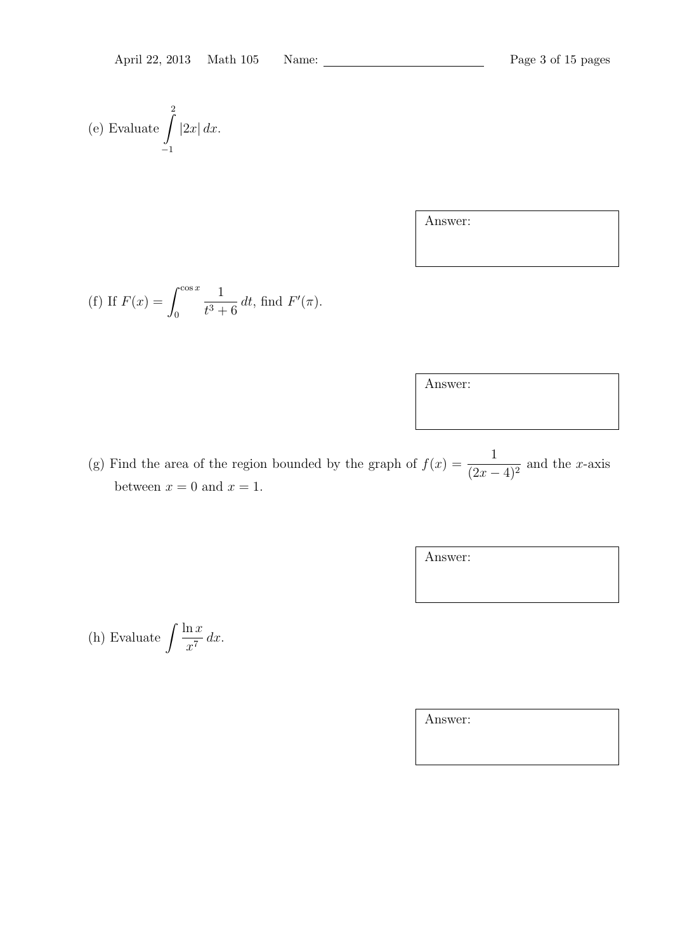(e) Evaluate 
$$
\int_{-1}^{2} |2x| dx.
$$

Answer:

(f) If 
$$
F(x) = \int_0^{\cos x} \frac{1}{t^3 + 6} dt
$$
, find  $F'(\pi)$ .

Answer:

(g) Find the area of the region bounded by the graph of  $f(x) = \frac{1}{x}$  $\frac{1}{(2x-4)^2}$  and the *x*-axis between  $x = 0$  and  $x = 1$ .

Answer:

(h) Evaluate 
$$
\int \frac{\ln x}{x^7} dx
$$
.

Answer: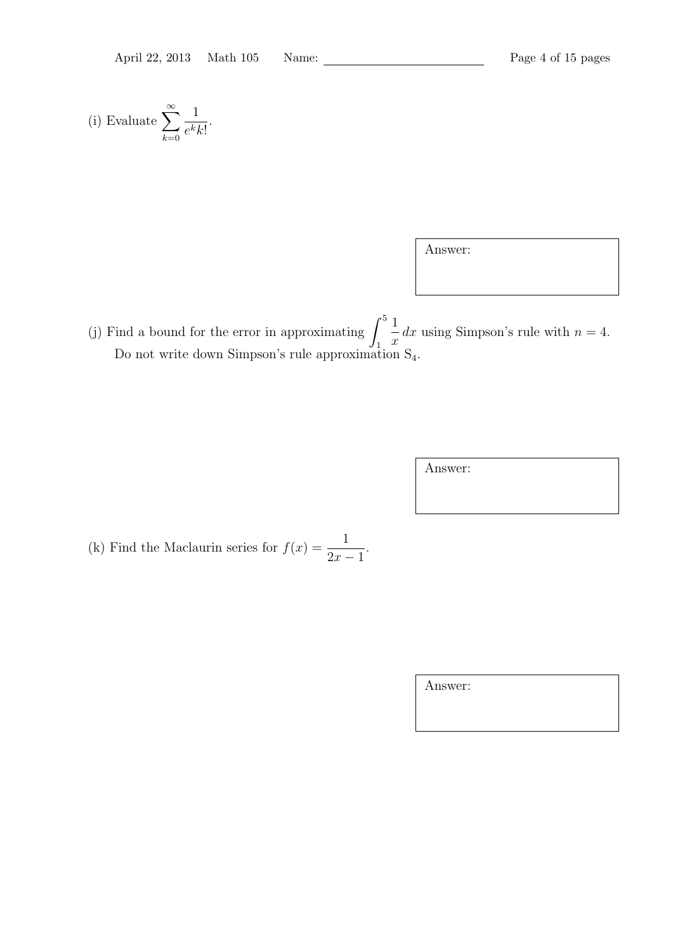(i) Evaluate 
$$
\sum_{k=0}^{\infty} \frac{1}{e^k k!}.
$$

Answer:

(j) Find a bound for the error in approximating  $\int_0^5$ 1 1 *x*  $dx$  using Simpson's rule with  $n = 4$ . Do not write down Simpson's rule approximation  $S_4$ .

Answer:

(k) Find the Maclaurin series for  $f(x) = \frac{1}{2}$ 2*x −* 1 .

Answer: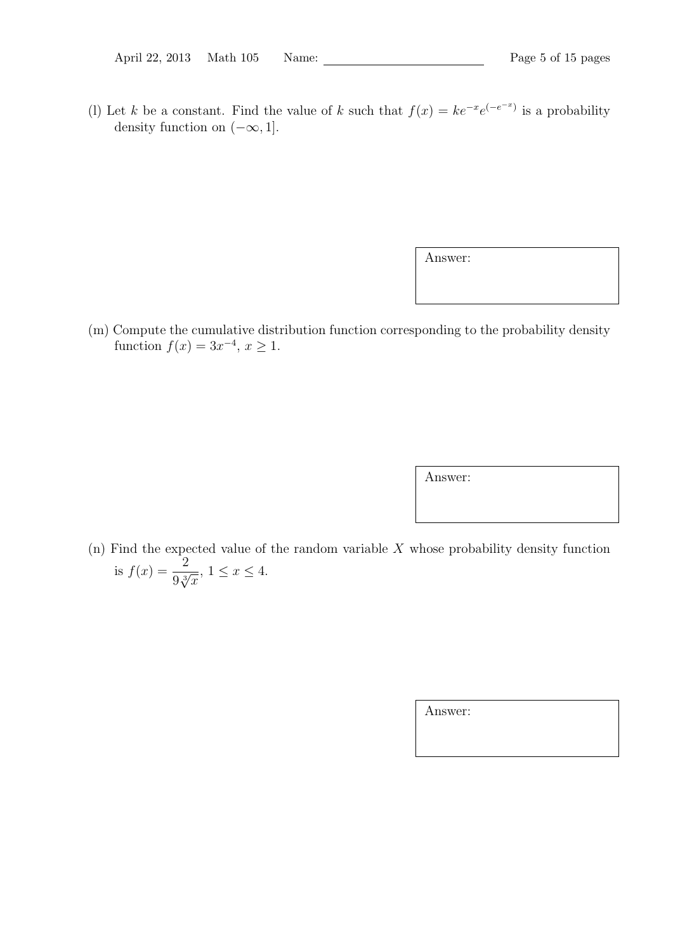(l) Let *k* be a constant. Find the value of *k* such that  $f(x) = ke^{-x}e^{(-e^{-x})}$  is a probability density function on (*−∞,* 1].

Answer:

(m) Compute the cumulative distribution function corresponding to the probability density function  $f(x) = 3x^{-4}, x \ge 1$ .

Answer:

(n) Find the expected value of the random variable *X* whose probability density function is  $f(x) = \frac{2}{a^3}$  $\frac{2}{9\sqrt[3]{x}}, 1 \leq x \leq 4.$ 

Answer: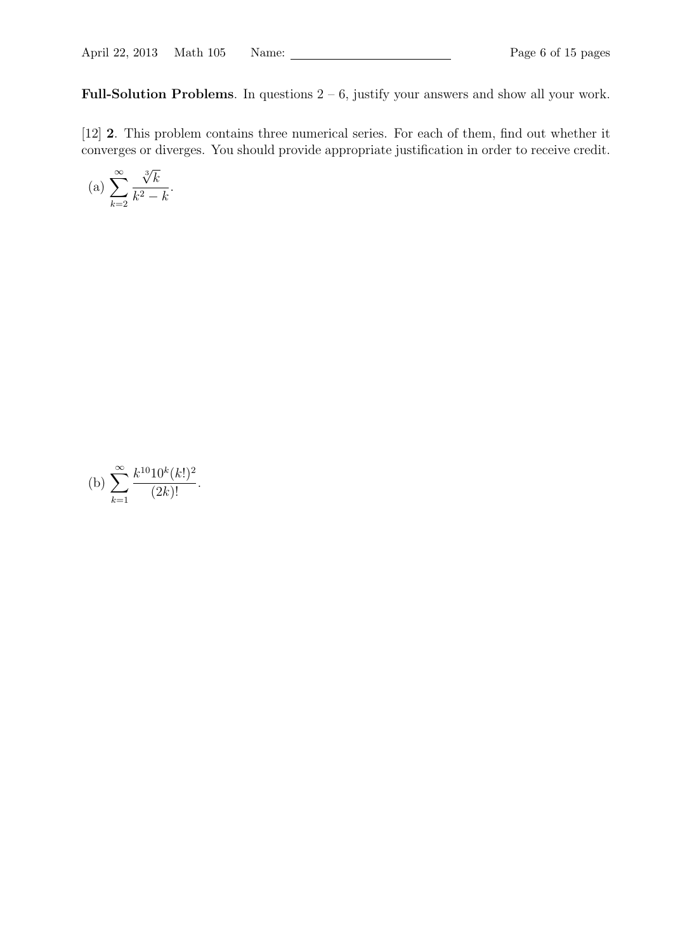**Full-Solution Problems**. In questions  $2 - 6$ , justify your answers and show all your work.

[12] **2**. This problem contains three numerical series. For each of them, find out whether it converges or diverges. You should provide appropriate justification in order to receive credit.

(a) 
$$
\sum_{k=2}^{\infty} \frac{\sqrt[3]{k}}{k^2 - k}.
$$

(b) 
$$
\sum_{k=1}^{\infty} \frac{k^{10} 10^k (k!)^2}{(2k)!}.
$$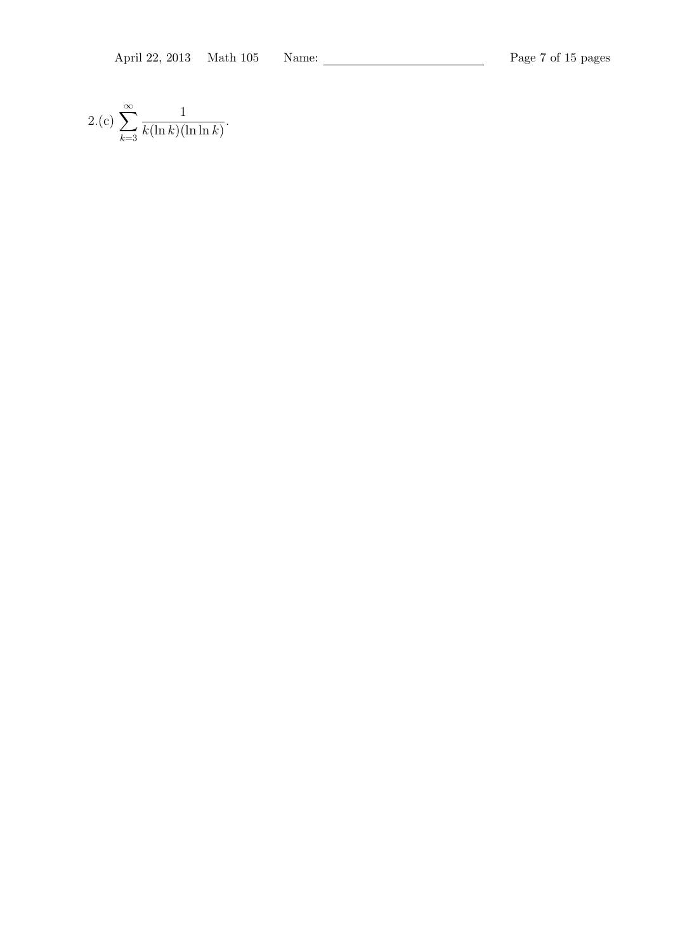$$
2.(c) \sum_{k=3}^{\infty} \frac{1}{k(\ln k)(\ln \ln k)}.
$$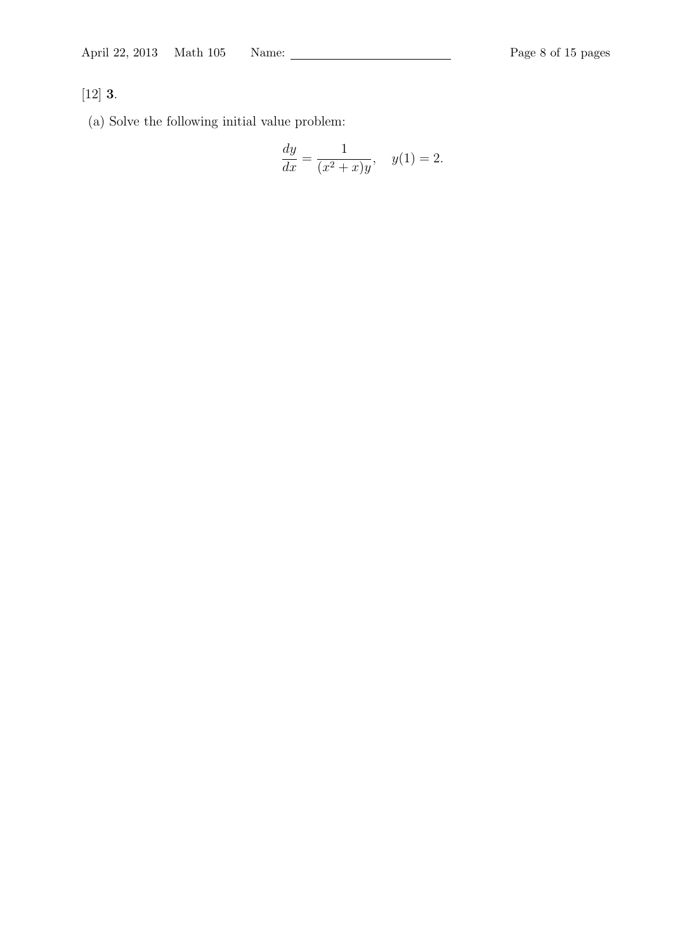## [12] **3**.

(a) Solve the following initial value problem:

$$
\frac{dy}{dx} = \frac{1}{(x^2 + x)y}, \quad y(1) = 2.
$$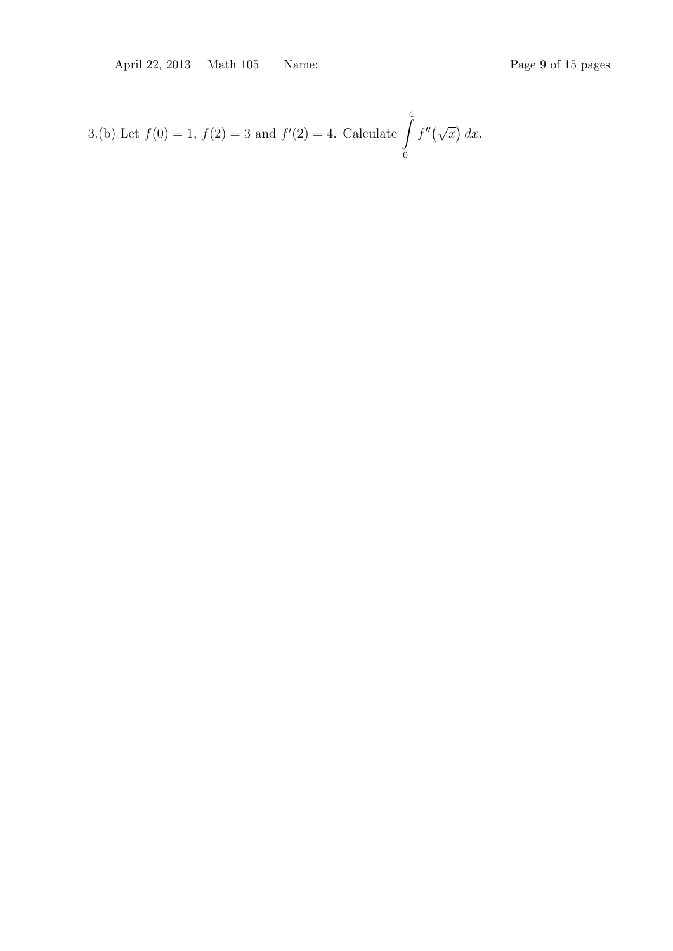3.(b) Let  $f(0) = 1$ ,  $f(2) = 3$  and  $f'(2) = 4$ . Calculate  $\int_{0}^{4} f(t) dt$ 0  $f''(\sqrt{x}) dx$ .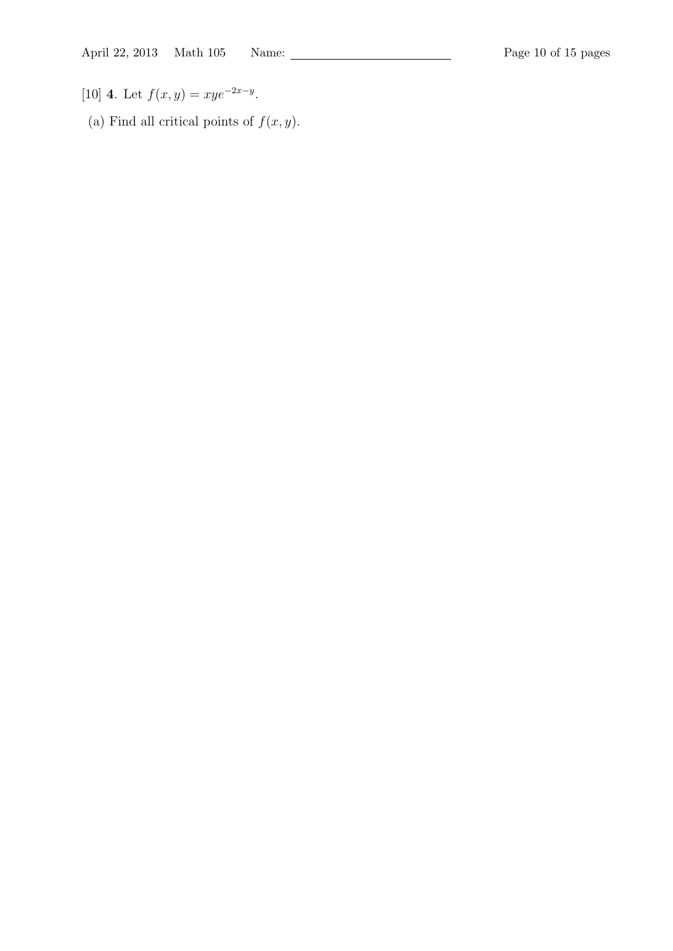- [10] **4**. Let  $f(x, y) = xye^{-2x-y}$ .
- (a) Find all critical points of  $f(x, y)$ .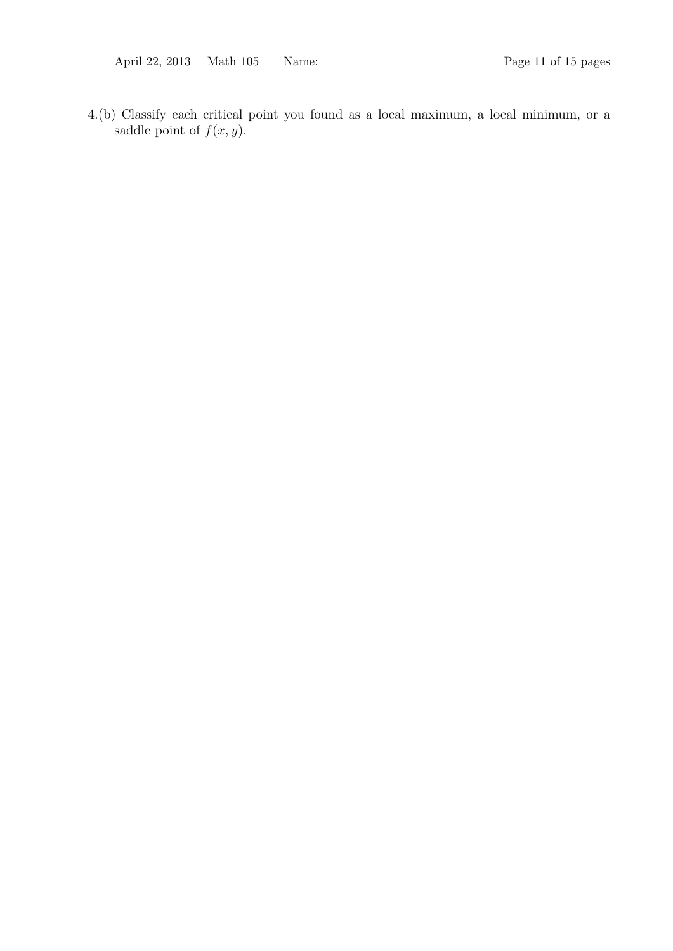4.(b) Classify each critical point you found as a local maximum, a local minimum, or a saddle point of  $f(x, y)$ .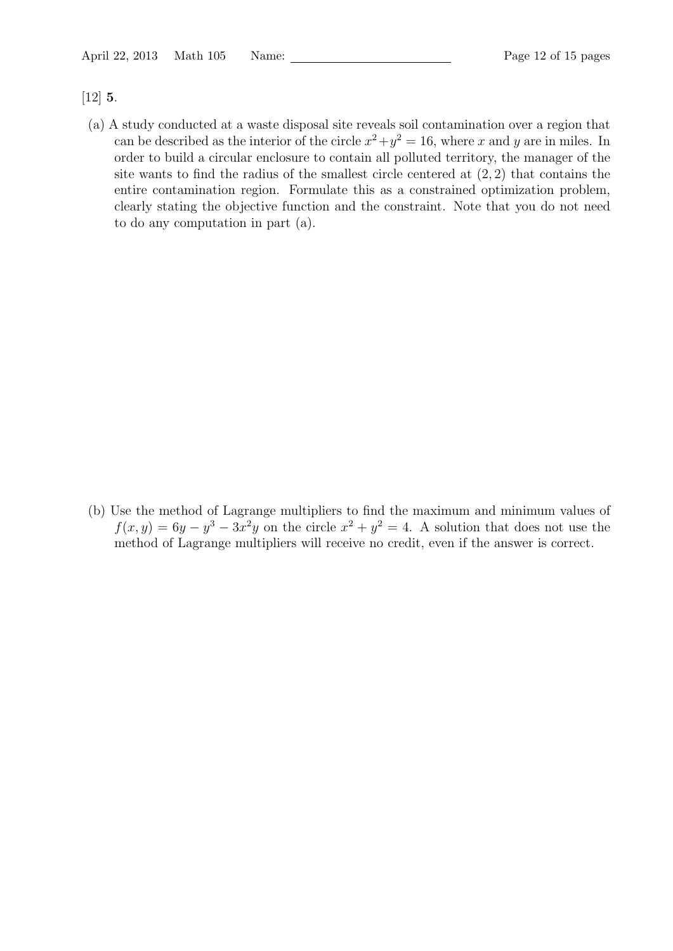[12] **5**.

(a) A study conducted at a waste disposal site reveals soil contamination over a region that can be described as the interior of the circle  $x^2 + y^2 = 16$ , where *x* and *y* are in miles. In order to build a circular enclosure to contain all polluted territory, the manager of the site wants to find the radius of the smallest circle centered at (2*,* 2) that contains the entire contamination region. Formulate this as a constrained optimization problem, clearly stating the objective function and the constraint. Note that you do not need to do any computation in part (a).

(b) Use the method of Lagrange multipliers to find the maximum and minimum values of  $f(x,y) = 6y - y^3 - 3x^2y$  on the circle  $x^2 + y^2 = 4$ . A solution that does not use the method of Lagrange multipliers will receive no credit, even if the answer is correct.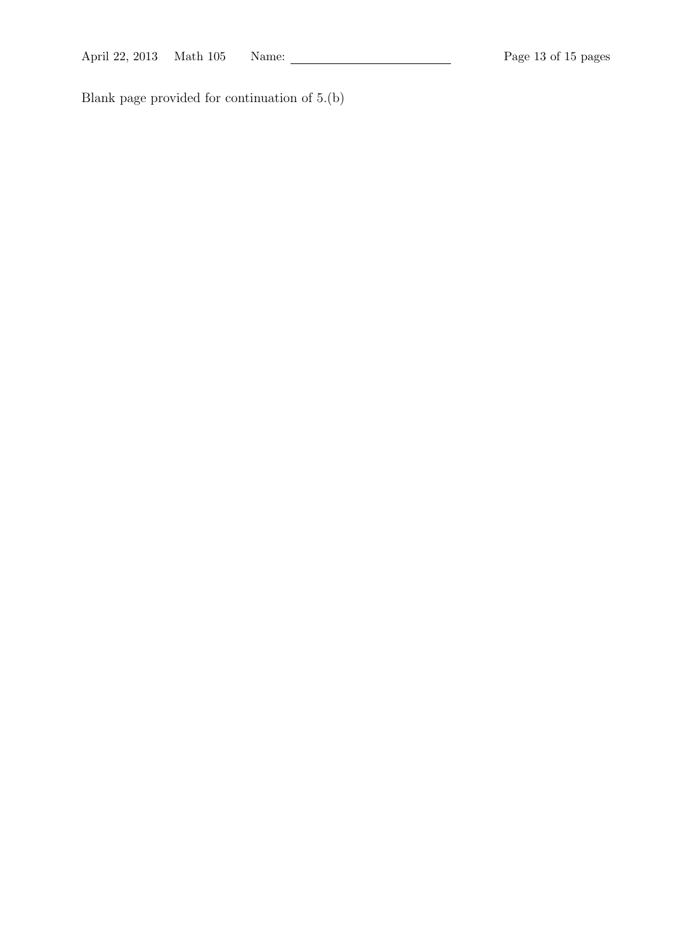Blank page provided for continuation of 5.(b)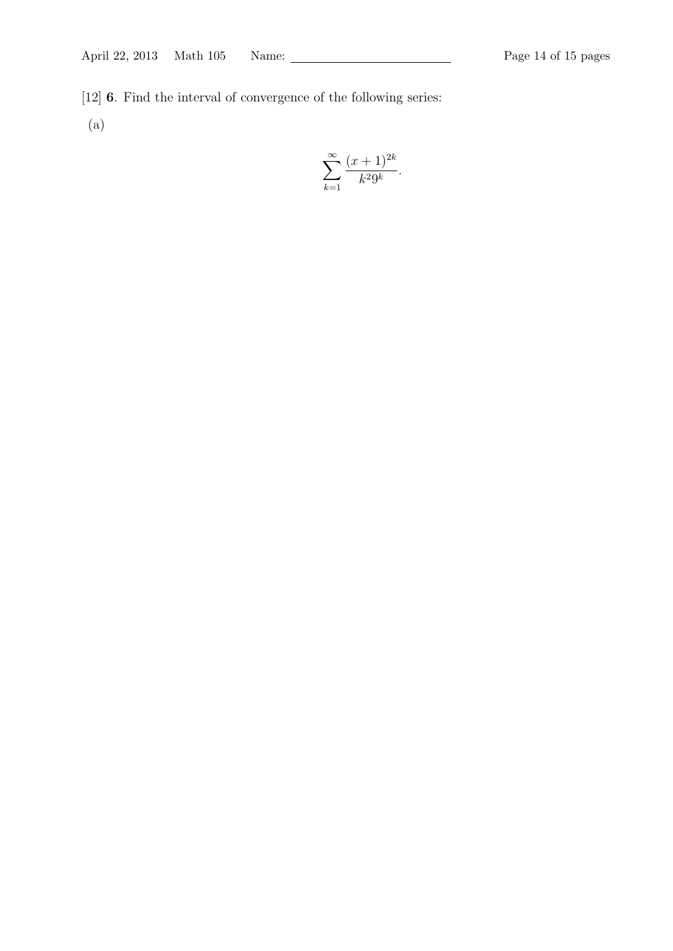[12] **6**. Find the interval of convergence of the following series:

(a)

$$
\sum_{k=1}^{\infty} \frac{(x+1)^{2k}}{k^2 9^k}.
$$